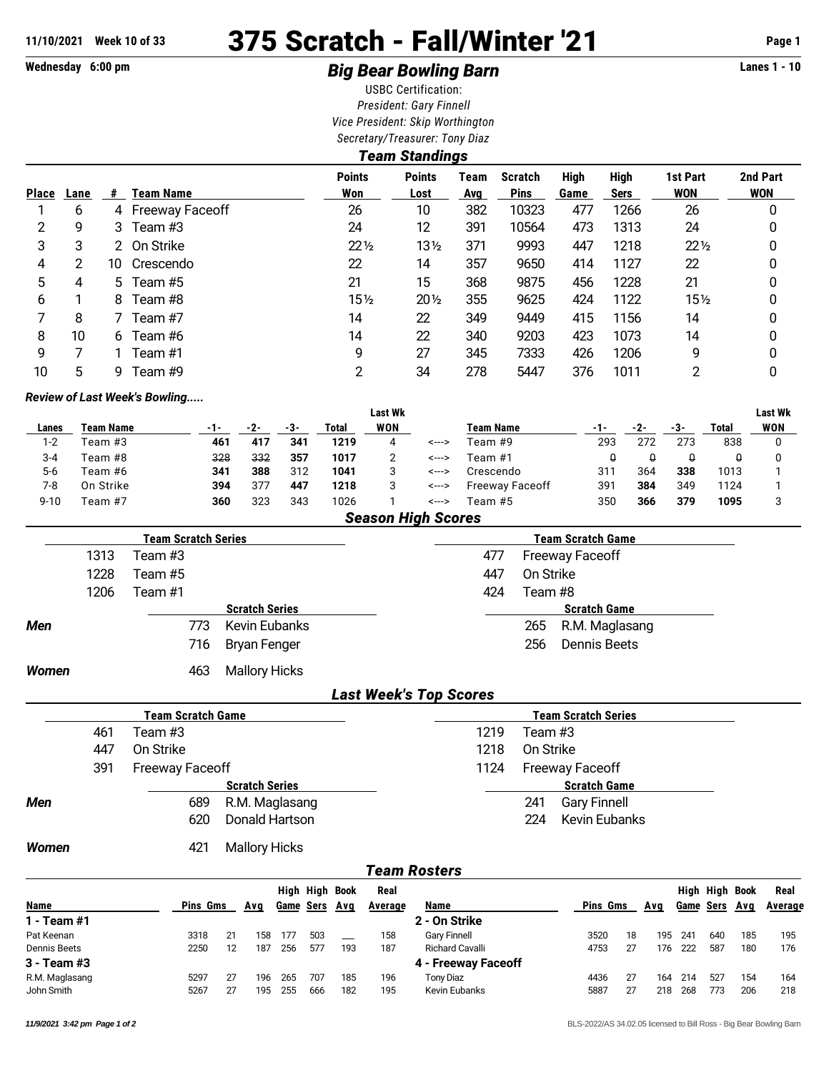# **11/10/2021 Week 10 of 33 375 Scratch - Fall/Winter '21 Page 1**

## Wednesday 6:00 pm **Example 2 and 3 and 3 and 3 and 3 and 3 and 3 Big Bear Bowling Barn Example 2 and 3 and 4 and 4 and 4 and 4 and 4 and 4 and 4 and 4 and 4 and 4 and 4 and 4 and 4 and 4 and 4 and 4 and 4 and 4 and 4 and**

USBC Certification: *President: Gary Finnell Vice President: Skip Worthington Secretary/Treasurer: Tony Diaz*

|              | <b>Team Standings</b> |    |                   |                      |                       |             |                               |                     |                            |                        |                        |  |  |  |
|--------------|-----------------------|----|-------------------|----------------------|-----------------------|-------------|-------------------------------|---------------------|----------------------------|------------------------|------------------------|--|--|--|
| <b>Place</b> | Lane                  | #  | <b>Team Name</b>  | <b>Points</b><br>Won | <b>Points</b><br>Lost | Team<br>Avg | <b>Scratch</b><br><b>Pins</b> | <b>High</b><br>Game | <b>High</b><br><b>Sers</b> | 1st Part<br><b>WON</b> | 2nd Part<br><b>WON</b> |  |  |  |
|              | 6                     |    | 4 Freeway Faceoff | 26                   | 10                    | 382         | 10323                         | 477                 | 1266                       | 26                     | 0                      |  |  |  |
| 2            | 9                     | 3  | Team #3           | 24                   | 12                    | 391         | 10564                         | 473                 | 1313                       | 24                     | 0                      |  |  |  |
| 3            | 3                     |    | 2 On Strike       | $22\frac{1}{2}$      | $13\frac{1}{2}$       | 371         | 9993                          | 447                 | 1218                       | $22\frac{1}{2}$        | 0                      |  |  |  |
| 4            | 2                     | 10 | Crescendo         | 22                   | 14                    | 357         | 9650                          | 414                 | 1127                       | 22                     | 0                      |  |  |  |
| 5            | 4                     | 5. | Team #5           | 21                   | 15                    | 368         | 9875                          | 456                 | 1228                       | 21                     | 0                      |  |  |  |
| 6            |                       | 8  | Team #8           | $15\frac{1}{2}$      | $20\%$                | 355         | 9625                          | 424                 | 1122                       | $15\frac{1}{2}$        | 0                      |  |  |  |
|              | 8                     |    | Team #7           | 14                   | 22                    | 349         | 9449                          | 415                 | 1156                       | 14                     | 0                      |  |  |  |
| 8            | 10                    | 6. | Team #6           | 14                   | 22                    | 340         | 9203                          | 423                 | 1073                       | 14                     | 0                      |  |  |  |
| 9            |                       |    | Team #1           | 9                    | 27                    | 345         | 7333                          | 426                 | 1206                       | 9                      | 0                      |  |  |  |
| 10           | 5                     | 9. | Team #9           | 2                    | 34                    | 278         | 5447                          | 376                 | 1011                       | າ                      | 0                      |  |  |  |

#### *Review of Last Week's Bowling.....*

|          |           |     |     |     |                               | <b>Last Wk</b> |       |                  |     |     |     |       | <b>Last Wk</b> |
|----------|-----------|-----|-----|-----|-------------------------------|----------------|-------|------------------|-----|-----|-----|-------|----------------|
| Lanes    | Team Name | -1- | -2- | -3- | Total                         | <b>WON</b>     |       | <b>Team Name</b> | -1- |     | -3- | Total | WON            |
| $1 - 2$  | Team #3   | 461 | 417 | 341 | 1219                          |                | <---> | Team #9          | 293 | 272 | 273 | 838   |                |
| $3 - 4$  | Team #8   | 328 | 332 | 357 | 1017                          |                | <---> | Team #1          |     |     | ч   |       |                |
| $5-6$    | Team #6   | 341 | 388 | 312 | 1041                          |                | <---> | Crescendo        | 311 | 364 | 338 | 1013  |                |
| 7-8      | On Strike | 394 | 377 | 447 | 1218                          |                | <---> | Freeway Faceoff  | 391 | 384 | 349 | 1124  |                |
| $9 - 10$ | Team #7   | 360 | 323 | 343 | 1026                          |                | <---> | Team #5          | 350 | 366 | 379 | 1095  |                |
|          |           |     |     |     | the control of the control of |                | _____ |                  |     |     |     |       |                |

*Season High Scores*

|              |      | Team Scratch Series |                       |     | <b>Team Scratch Game</b> |                        |
|--------------|------|---------------------|-----------------------|-----|--------------------------|------------------------|
|              | 1313 | Team #3             |                       | 477 |                          | <b>Freeway Faceoff</b> |
|              | 1228 | Team #5             |                       | 447 | On Strike                |                        |
|              | 1206 | Team #1             |                       | 424 | Team #8                  |                        |
|              |      |                     | <b>Scratch Series</b> |     |                          | <b>Scratch Game</b>    |
| <b>Men</b>   |      | 773                 | <b>Kevin Eubanks</b>  |     | 265                      | R.M. Maglasang         |
|              |      | 716                 | Bryan Fenger          |     | 256                      | Dennis Beets           |
| <b>Women</b> |      | 463                 | <b>Mallory Hicks</b>  |     |                          |                        |

### *Last Week's Top Scores*

|              |     | <b>Team Scratch Game</b> |                       |      |           | <b>Team Scratch Series</b> |  |
|--------------|-----|--------------------------|-----------------------|------|-----------|----------------------------|--|
|              | 461 | Team #3                  |                       | 1219 | Team #3   |                            |  |
|              | 447 | On Strike                |                       | 1218 | On Strike |                            |  |
|              | 391 | <b>Freeway Faceoff</b>   |                       | 1124 |           | <b>Freeway Faceoff</b>     |  |
|              |     |                          | <b>Scratch Series</b> |      |           | <b>Scratch Game</b>        |  |
| <b>Men</b>   |     | 689                      | R.M. Maglasang        |      | 241       | <b>Gary Finnell</b>        |  |
|              |     | 620                      | Donald Hartson        |      | 224       | <b>Kevin Eubanks</b>       |  |
| <b>Women</b> |     | 421                      | <b>Mallory Hicks</b>  |      |           |                            |  |

### *Team Rosters*

|                |                 |    |     |                  | High High Book |     | Real    |                        |      |     |     |                  | High High Book |     | Real    |
|----------------|-----------------|----|-----|------------------|----------------|-----|---------|------------------------|------|-----|-----|------------------|----------------|-----|---------|
| <b>Name</b>    | <b>Pins Gms</b> |    | Ava | <b>Game Sers</b> |                | Ava | Average | Name                   | Pins | Gms | Avq | <b>Game Sers</b> |                | Ava | Average |
| 1 - Team #1    |                 |    |     |                  |                |     |         | 2 - On Strike          |      |     |     |                  |                |     |         |
| Pat Keenan     | 3318            | 21 | 158 | 177              | 503            |     | 158     | <b>Gary Finnell</b>    | 3520 | 18  | 195 | $24^{\circ}$     | 640            | 185 | 195     |
| Dennis Beets   | 2250            | 12 | 187 | 256              | 577            | 193 | 187     | <b>Richard Cavalli</b> | 4753 | 27  | 176 | 222              | 587            | 180 | 176     |
| 3 - Team #3    |                 |    |     |                  |                |     |         | 4 - Freeway Faceoff    |      |     |     |                  |                |     |         |
| R.M. Maglasang | 5297            | 27 | 196 | 265              | 707            | 185 | 196     | <b>Tony Diaz</b>       | 4436 | 27  | 164 | 214              | 527            | 154 | 164     |
| John Smith     | 5267            | 27 | 195 | 255              | 666            | 182 | 195     | Kevin Eubanks          | 5887 | 27  | 218 | 268              | 773            | 206 | 218     |